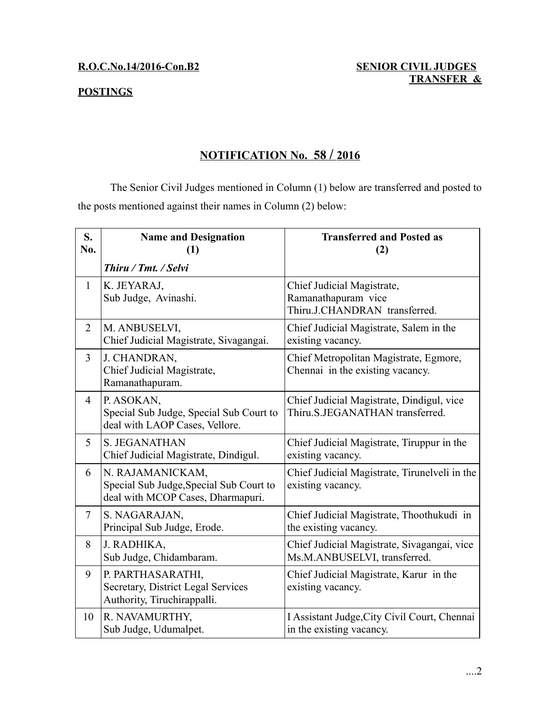### **POSTINGS**

### **NOTIFICATION No. 58 / 2016**

The Senior Civil Judges mentioned in Column (1) below are transferred and posted to the posts mentioned against their names in Column (2) below:

| S.<br>No.      | <b>Name and Designation</b><br>(1)                                                               | <b>Transferred and Posted as</b><br>(2)                                            |
|----------------|--------------------------------------------------------------------------------------------------|------------------------------------------------------------------------------------|
|                | Thiru / Tmt. / Selvi                                                                             |                                                                                    |
| $\mathbf{1}$   | K. JEYARAJ,<br>Sub Judge, Avinashi.                                                              | Chief Judicial Magistrate,<br>Ramanathapuram vice<br>Thiru.J.CHANDRAN transferred. |
| $\overline{2}$ | M. ANBUSELVI,<br>Chief Judicial Magistrate, Sivagangai.                                          | Chief Judicial Magistrate, Salem in the<br>existing vacancy.                       |
| $\overline{3}$ | J. CHANDRAN,<br>Chief Judicial Magistrate,<br>Ramanathapuram.                                    | Chief Metropolitan Magistrate, Egmore,<br>Chennai in the existing vacancy.         |
| $\overline{4}$ | P. ASOKAN,<br>Special Sub Judge, Special Sub Court to<br>deal with LAOP Cases, Vellore.          | Chief Judicial Magistrate, Dindigul, vice<br>Thiru.S.JEGANATHAN transferred.       |
| 5              | <b>S. JEGANATHAN</b><br>Chief Judicial Magistrate, Dindigul.                                     | Chief Judicial Magistrate, Tiruppur in the<br>existing vacancy.                    |
| 6              | N. RAJAMANICKAM,<br>Special Sub Judge, Special Sub Court to<br>deal with MCOP Cases, Dharmapuri. | Chief Judicial Magistrate, Tirunelveli in the<br>existing vacancy.                 |
| $\overline{7}$ | S. NAGARAJAN,<br>Principal Sub Judge, Erode.                                                     | Chief Judicial Magistrate, Thoothukudi in<br>the existing vacancy.                 |
| 8              | J. RADHIKA,<br>Sub Judge, Chidambaram.                                                           | Chief Judicial Magistrate, Sivagangai, vice<br>Ms.M.ANBUSELVI, transferred.        |
| 9              | P. PARTHASARATHI,<br>Secretary, District Legal Services<br>Authority, Tiruchirappalli.           | Chief Judicial Magistrate, Karur in the<br>existing vacancy.                       |
| 10             | R. NAVAMURTHY,<br>Sub Judge, Udumalpet.                                                          | I Assistant Judge, City Civil Court, Chennai<br>in the existing vacancy.           |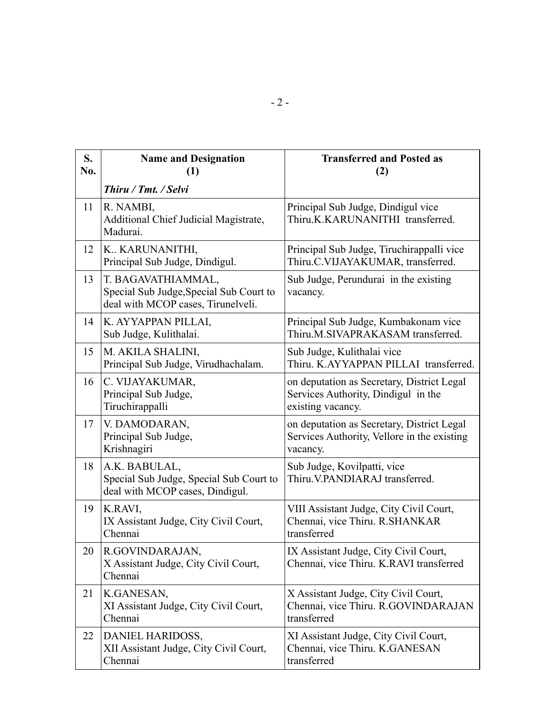| S.<br>No. | <b>Name and Designation</b><br>(1)                                                                  | <b>Transferred and Posted as</b><br>(2)                                                                |
|-----------|-----------------------------------------------------------------------------------------------------|--------------------------------------------------------------------------------------------------------|
|           | Thiru / Tmt. / Selvi                                                                                |                                                                                                        |
| 11        | R. NAMBI,<br>Additional Chief Judicial Magistrate,<br>Madurai.                                      | Principal Sub Judge, Dindigul vice<br>Thiru.K.KARUNANITHI transferred.                                 |
| 12        | K., KARUNANITHI,<br>Principal Sub Judge, Dindigul.                                                  | Principal Sub Judge, Tiruchirappalli vice<br>Thiru.C.VIJAYAKUMAR, transferred.                         |
| 13        | T. BAGAVATHIAMMAL,<br>Special Sub Judge, Special Sub Court to<br>deal with MCOP cases, Tirunelveli. | Sub Judge, Perundurai in the existing<br>vacancy.                                                      |
| 14        | K. AYYAPPAN PILLAI,<br>Sub Judge, Kulithalai.                                                       | Principal Sub Judge, Kumbakonam vice<br>Thiru.M.SIVAPRAKASAM transferred.                              |
| 15        | M. AKILA SHALINI,<br>Principal Sub Judge, Virudhachalam.                                            | Sub Judge, Kulithalai vice<br>Thiru. K.AYYAPPAN PILLAI transferred.                                    |
| 16        | C. VIJAYAKUMAR,<br>Principal Sub Judge,<br>Tiruchirappalli                                          | on deputation as Secretary, District Legal<br>Services Authority, Dindigul in the<br>existing vacancy. |
| 17        | V. DAMODARAN,<br>Principal Sub Judge,<br>Krishnagiri                                                | on deputation as Secretary, District Legal<br>Services Authority, Vellore in the existing<br>vacancy.  |
| 18        | A.K. BABULAL,<br>Special Sub Judge, Special Sub Court to<br>deal with MCOP cases, Dindigul.         | Sub Judge, Kovilpatti, vice<br>Thiru. V.PANDIARAJ transferred.                                         |
| 19        | K.RAVI,<br>IX Assistant Judge, City Civil Court,<br>Chennai                                         | VIII Assistant Judge, City Civil Court,<br>Chennai, vice Thiru. R.SHANKAR<br>transferred               |
| 20        | R.GOVINDARAJAN,<br>X Assistant Judge, City Civil Court,<br>Chennai                                  | IX Assistant Judge, City Civil Court,<br>Chennai, vice Thiru. K.RAVI transferred                       |
| 21        | K.GANESAN,<br>XI Assistant Judge, City Civil Court,<br>Chennai                                      | X Assistant Judge, City Civil Court,<br>Chennai, vice Thiru. R.GOVINDARAJAN<br>transferred             |
| 22        | DANIEL HARIDOSS,<br>XII Assistant Judge, City Civil Court,<br>Chennai                               | XI Assistant Judge, City Civil Court,<br>Chennai, vice Thiru. K.GANESAN<br>transferred                 |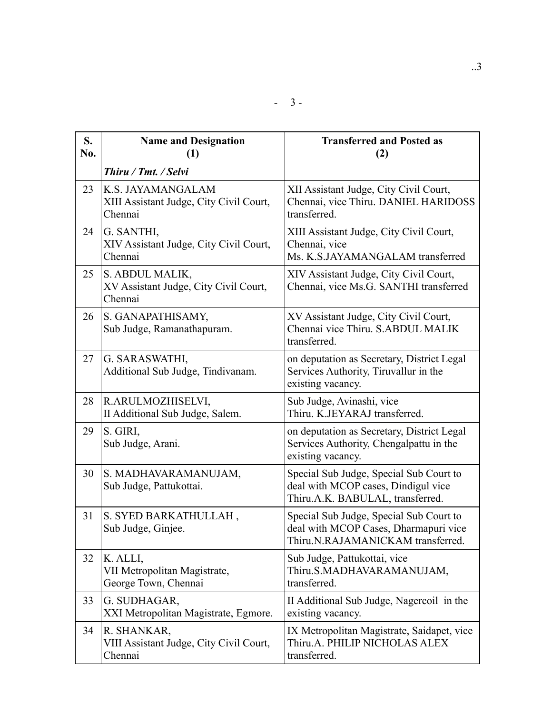| S.<br>No. | <b>Name and Designation</b><br>(1)                                      | <b>Transferred and Posted as</b><br>(2)                                                                               |
|-----------|-------------------------------------------------------------------------|-----------------------------------------------------------------------------------------------------------------------|
|           | Thiru / Tmt. / Selvi                                                    |                                                                                                                       |
| 23        | K.S. JAYAMANGALAM<br>XIII Assistant Judge, City Civil Court,<br>Chennai | XII Assistant Judge, City Civil Court,<br>Chennai, vice Thiru. DANIEL HARIDOSS<br>transferred.                        |
| 24        | G. SANTHI,<br>XIV Assistant Judge, City Civil Court,<br>Chennai         | XIII Assistant Judge, City Civil Court,<br>Chennai, vice<br>Ms. K.S.JAYAMANGALAM transferred                          |
| 25        | S. ABDUL MALIK,<br>XV Assistant Judge, City Civil Court,<br>Chennai     | XIV Assistant Judge, City Civil Court,<br>Chennai, vice Ms.G. SANTHI transferred                                      |
| 26        | S. GANAPATHISAMY,<br>Sub Judge, Ramanathapuram.                         | XV Assistant Judge, City Civil Court,<br>Chennai vice Thiru. S.ABDUL MALIK<br>transferred.                            |
| 27        | G. SARASWATHI,<br>Additional Sub Judge, Tindivanam.                     | on deputation as Secretary, District Legal<br>Services Authority, Tiruvallur in the<br>existing vacancy.              |
| 28        | R.ARULMOZHISELVI,<br>II Additional Sub Judge, Salem.                    | Sub Judge, Avinashi, vice<br>Thiru. K.JEYARAJ transferred.                                                            |
| 29        | S. GIRI,<br>Sub Judge, Arani.                                           | on deputation as Secretary, District Legal<br>Services Authority, Chengalpattu in the<br>existing vacancy.            |
| 30        | S. MADHAVARAMANUJAM,<br>Sub Judge, Pattukottai.                         | Special Sub Judge, Special Sub Court to<br>deal with MCOP cases, Dindigul vice<br>Thiru.A.K. BABULAL, transferred.    |
| 31        | S. SYED BARKATHULLAH,<br>Sub Judge, Ginjee.                             | Special Sub Judge, Special Sub Court to<br>deal with MCOP Cases, Dharmapuri vice<br>Thiru.N.RAJAMANICKAM transferred. |
| 32        | K. ALLI,<br>VII Metropolitan Magistrate,<br>George Town, Chennai        | Sub Judge, Pattukottai, vice<br>Thiru.S.MADHAVARAMANUJAM,<br>transferred.                                             |
| 33        | G. SUDHAGAR,<br>XXI Metropolitan Magistrate, Egmore.                    | II Additional Sub Judge, Nagercoil in the<br>existing vacancy.                                                        |
| 34        | R. SHANKAR,<br>VIII Assistant Judge, City Civil Court,<br>Chennai       | IX Metropolitan Magistrate, Saidapet, vice<br>Thiru.A. PHILIP NICHOLAS ALEX<br>transferred.                           |

- 3 -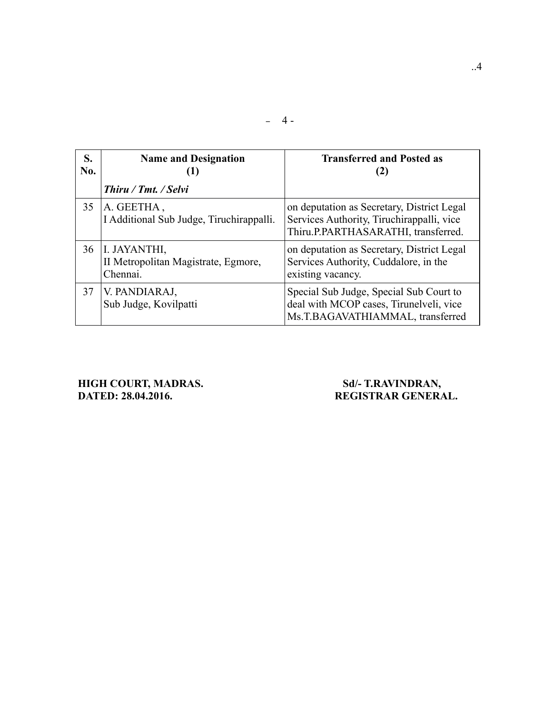| S.<br>No. | <b>Name and Designation</b>                                     | <b>Transferred and Posted as</b><br>(2)                                                                                        |
|-----------|-----------------------------------------------------------------|--------------------------------------------------------------------------------------------------------------------------------|
|           | Thiru / Tmt. / Selvi                                            |                                                                                                                                |
| 35        | A. GEETHA,<br>I Additional Sub Judge, Tiruchirappalli.          | on deputation as Secretary, District Legal<br>Services Authority, Tiruchirappalli, vice<br>Thiru.P.PARTHASARATHI, transferred. |
| 36        | I. JAYANTHI,<br>II Metropolitan Magistrate, Egmore,<br>Chennai. | on deputation as Secretary, District Legal<br>Services Authority, Cuddalore, in the<br>existing vacancy.                       |
| 37        | V. PANDIARAJ,<br>Sub Judge, Kovilpatti                          | Special Sub Judge, Special Sub Court to<br>deal with MCOP cases, Tirunelveli, vice<br>Ms.T.BAGAVATHIAMMAL, transferred         |

 $-4-$ 

# **HIGH COURT, MADRAS.** Sd/- T.RAVINDRAN, DATED: 28.04.2016. NEGISTRAN

## REGISTRAR GENERAL.